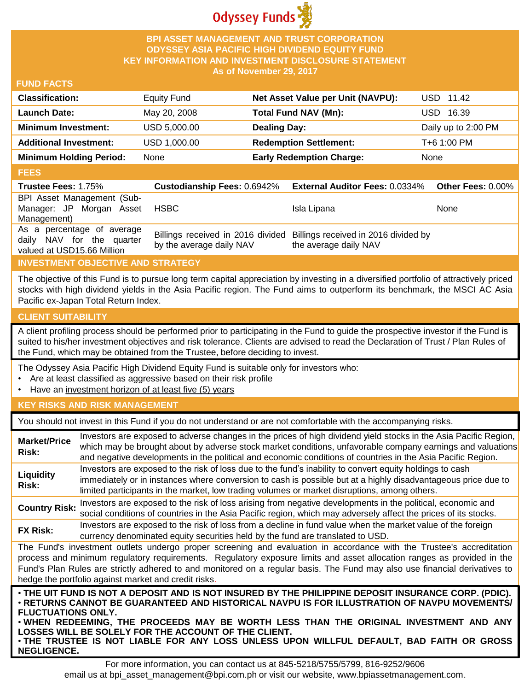

#### **BPI ASSET MANAGEMENT AND TRUST CORPORATION ODYSSEY ASIA PACIFIC HIGH DIVIDEND EQUITY FUND KEY INFORMATION AND INVESTMENT DISCLOSURE STATEMENT As of November 29, 2017**

#### **FUND FACTS**

| <b>Classification:</b>         | <b>Equity Fund</b> | Net Asset Value per Unit (NAVPU): | USD 11.42           |
|--------------------------------|--------------------|-----------------------------------|---------------------|
| Launch Date:                   | May 20, 2008       | Total Fund NAV (Mn):              | USD 16.39           |
| <b>Minimum Investment:</b>     | USD 5,000.00       | <b>Dealing Day:</b>               | Daily up to 2:00 PM |
| <b>Additional Investment:</b>  | USD 1,000.00       | <b>Redemption Settlement:</b>     | T+6 1:00 PM         |
| <b>Minimum Holding Period:</b> | None               | <b>Early Redemption Charge:</b>   | None                |

#### **FEES**

| <b>Trustee Fees: 1.75%</b> | <b>Custodianship Fees: 0.6942%</b> | <b>External Auditor Fees: 0.0334%</b>                                  | Other Fees: 0.00% |
|----------------------------|------------------------------------|------------------------------------------------------------------------|-------------------|
| BPI Asset Management (Sub- |                                    |                                                                        |                   |
| Manager: JP Morgan Asset   | <b>HSBC</b>                        | Isla Lipana                                                            | None              |
| Management)                |                                    |                                                                        |                   |
| As a percentage of average |                                    | Billings received in 2016 divided Billings received in 2016 divided by |                   |
| daily NAV for the quarter  | by the average daily NAV           | the average daily NAV                                                  |                   |
| valued at USD15.66 Million |                                    |                                                                        |                   |

# **INVESTMENT OBJECTIVE AND STRATEGY**

The objective of this Fund is to pursue long term capital appreciation by investing in a diversified portfolio of attractively priced stocks with high dividend yields in the Asia Pacific region. The Fund aims to outperform its benchmark, the MSCI AC Asia Pacific ex-Japan Total Return Index.

#### **CLIENT SUITABILITY**

**NEGLIGENCE.**

A client profiling process should be performed prior to participating in the Fund to guide the prospective investor if the Fund is suited to his/her investment objectives and risk tolerance. Clients are advised to read the Declaration of Trust / Plan Rules of the Fund, which may be obtained from the Trustee, before deciding to invest.

The Odyssey Asia Pacific High Dividend Equity Fund is suitable only for investors who:

- Are at least classified as aggressive based on their risk profile
- Have an investment horizon of at least five (5) years

# **KEY RISKS AND RISK MANAGEMENT**

You should not invest in this Fund if you do not understand or are not comfortable with the accompanying risks.

| <b>Market/Price</b><br>Risk:                                                                                                                                                                                                                                                                                                                                                                                                                                                 | Investors are exposed to adverse changes in the prices of high dividend yield stocks in the Asia Pacific Region,<br>which may be brought about by adverse stock market conditions, unfavorable company earnings and valuations<br>and negative developments in the political and economic conditions of countries in the Asia Pacific Region. |  |
|------------------------------------------------------------------------------------------------------------------------------------------------------------------------------------------------------------------------------------------------------------------------------------------------------------------------------------------------------------------------------------------------------------------------------------------------------------------------------|-----------------------------------------------------------------------------------------------------------------------------------------------------------------------------------------------------------------------------------------------------------------------------------------------------------------------------------------------|--|
| Liquidity<br>Risk:                                                                                                                                                                                                                                                                                                                                                                                                                                                           | Investors are exposed to the risk of loss due to the fund's inability to convert equity holdings to cash<br>immediately or in instances where conversion to cash is possible but at a highly disadvantageous price due to<br>limited participants in the market, low trading volumes or market disruptions, among others.                     |  |
| <b>Country Risk:</b>                                                                                                                                                                                                                                                                                                                                                                                                                                                         | Investors are exposed to the risk of loss arising from negative developments in the political, economic and<br>social conditions of countries in the Asia Pacific region, which may adversely affect the prices of its stocks.                                                                                                                |  |
| <b>FX Risk:</b>                                                                                                                                                                                                                                                                                                                                                                                                                                                              | Investors are exposed to the risk of loss from a decline in fund value when the market value of the foreign<br>currency denominated equity securities held by the fund are translated to USD.                                                                                                                                                 |  |
| The Fund's investment outlets undergo proper screening and evaluation in accordance with the Trustee's accreditation<br>process and minimum regulatory requirements. Regulatory exposure limits and asset allocation ranges as provided in the<br>Fund's Plan Rules are strictly adhered to and monitored on a regular basis. The Fund may also use financial derivatives to<br>hedge the portfolio against market and credit risks.                                         |                                                                                                                                                                                                                                                                                                                                               |  |
| . THE UIT FUND IS NOT A DEPOSIT AND IS NOT INSURED BY THE PHILIPPINE DEPOSIT INSURANCE CORP. (PDIC).<br>⋅RETURNS CANNOT BE GUARANTEED AND HISTORICAL NAVPU IS FOR ILLUSTRATION OF NAVPU MOVEMENTS/<br><b>FLUCTUATIONS ONLY.</b><br>. WHEN REDEEMING, THE PROCEEDS MAY BE WORTH LESS THAN THE ORIGINAL INVESTMENT AND ANY<br>LOSSES WILL BE SOLELY FOR THE ACCOUNT OF THE CLIENT.<br>. THE TRUSTEE IS NOT LIABLE FOR ANY LOSS UNLESS UPON WILLFUL DEFAULT, BAD FAITH OR GROSS |                                                                                                                                                                                                                                                                                                                                               |  |

For more information, you can contact us at 845-5218/5755/5799, 816-9252/9606 email us at bpi\_asset\_management@bpi.com.ph or visit our website, www.bpiassetmanagement.com.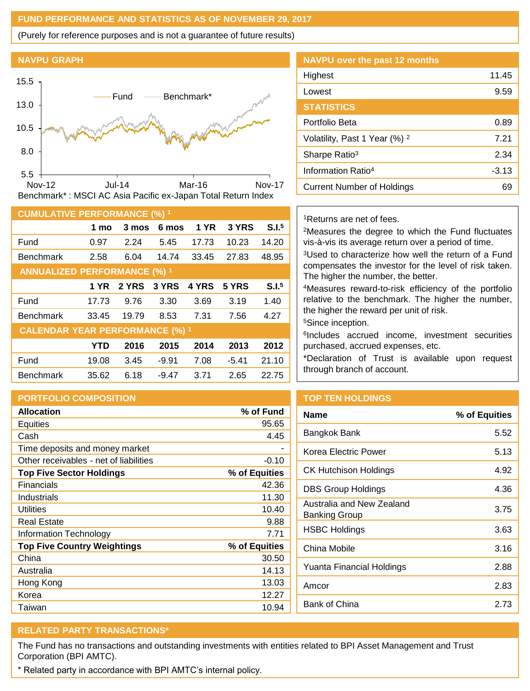#### **FUND PERFORMANCE AND STATISTICS AS OF NOVEMBER 29, 2017**

(Purely for reference purposes and is not a guarantee of future results)

#### **NAVPU GRAPH**



| <b>CUMULATIVE PERFORMANCE (%) 1</b>    |            |       |         |             |         |                   |
|----------------------------------------|------------|-------|---------|-------------|---------|-------------------|
|                                        | 1 mo       | 3 mos | 6 mos   | <b>1 YR</b> | 3 YRS   | S.I. <sup>5</sup> |
| Fund                                   | 0.97       | 2.24  | 5.45    | 17.73       | 10.23   | 14.20             |
| <b>Benchmark</b>                       | 2.58       | 6.04  | 14.74   | 33.45       | 27.83   | 48.95             |
| <b>ANNUALIZED PERFORMANCE (%) 1</b>    |            |       |         |             |         |                   |
|                                        | 1 YR .     | 2 YRS | 3 YRS   | 4 YRS       | 5 YRS   | S.I. <sup>5</sup> |
| Fund                                   | 17.73      | 9.76  | 3.30    | 3.69        | 3.19    | 1.40              |
| <b>Benchmark</b>                       | 33.45      | 19.79 | 8.53    | 7.31        | 7.56    | 4.27              |
| <b>CALENDAR YEAR PERFORMANCE (%) 1</b> |            |       |         |             |         |                   |
|                                        | <b>YTD</b> | 2016  | 2015    | 2014        | 2013    | 2012              |
| Fund                                   | 19.08      | 3.45  | $-9.91$ | 7.08        | $-5.41$ | 21.10             |
| <b>Benchmark</b>                       | 35.62      | 6.18  | $-9.47$ | 3.71        | 2.65    | 22.75             |

#### **PORTFOLIO COMPOSITION**

| <b>Allocation</b>                      | % of Fund     |
|----------------------------------------|---------------|
| <b>Equities</b>                        | 95.65         |
| Cash                                   | 4.45          |
| Time deposits and money market         |               |
| Other receivables - net of liabilities | $-0.10$       |
| <b>Top Five Sector Holdings</b>        | % of Equities |
| Financials                             | 42.36         |
| Industrials                            | 11.30         |
| Utilities                              | 10.40         |
| <b>Real Estate</b>                     | 9.88          |
| Information Technology                 | 7.71          |
| <b>Top Five Country Weightings</b>     | % of Equities |
| China                                  | 30.50         |
| Australia                              | 14.13         |
| Hong Kong                              | 13.03         |
| Korea                                  | 12.27         |
| Taiwan                                 | 10.94         |

# **NAVPU over the past 12 months** Highest 11.45 Lowest 9.59 **STATISTICS** Portfolio Beta 0.89 Volatility, Past 1 Year (%) <sup>2</sup> 7.21 Sharpe Ratio<sup>3</sup> 2.34

# <sup>1</sup>Returns are net of fees.

<sup>2</sup>Measures the degree to which the Fund fluctuates vis-à-vis its average return over a period of time.

Information Ratio<sup>4</sup> and 13.13 Current Number of Holdings 69

<sup>3</sup>Used to characterize how well the return of a Fund compensates the investor for the level of risk taken. The higher the number, the better.

<sup>4</sup>Measures reward-to-risk efficiency of the portfolio relative to the benchmark. The higher the number, the higher the reward per unit of risk.

<sup>5</sup>Since inception.

6 Includes accrued income, investment securities purchased, accrued expenses, etc.

\*Declaration of Trust is available upon request through branch of account.

# **TOP TEN HOLDINGS**

| <b>Name</b>                                | % of Equities |
|--------------------------------------------|---------------|
| Bangkok Bank                               | 5.52          |
| Korea Electric Power                       | 5.13          |
| CK Hutchison Holdings                      | 4.92          |
| DBS Group Holdings                         | 4.36          |
| Australia and New Zealand<br>Banking Group | 3.75          |
| <b>HSBC Holdings</b>                       | 3.63          |
| China Mobile                               | 3.16          |
| Yuanta Financial Holdings                  | 2.88          |
| Amcor                                      | 2.83          |
| Bank of China                              | 2.73          |
|                                            |               |

# **RELATED PARTY TRANSACTIONS\***

The Fund has no transactions and outstanding investments with entities related to BPI Asset Management and Trust Corporation (BPI AMTC).

\* Related party in accordance with BPI AMTC's internal policy.